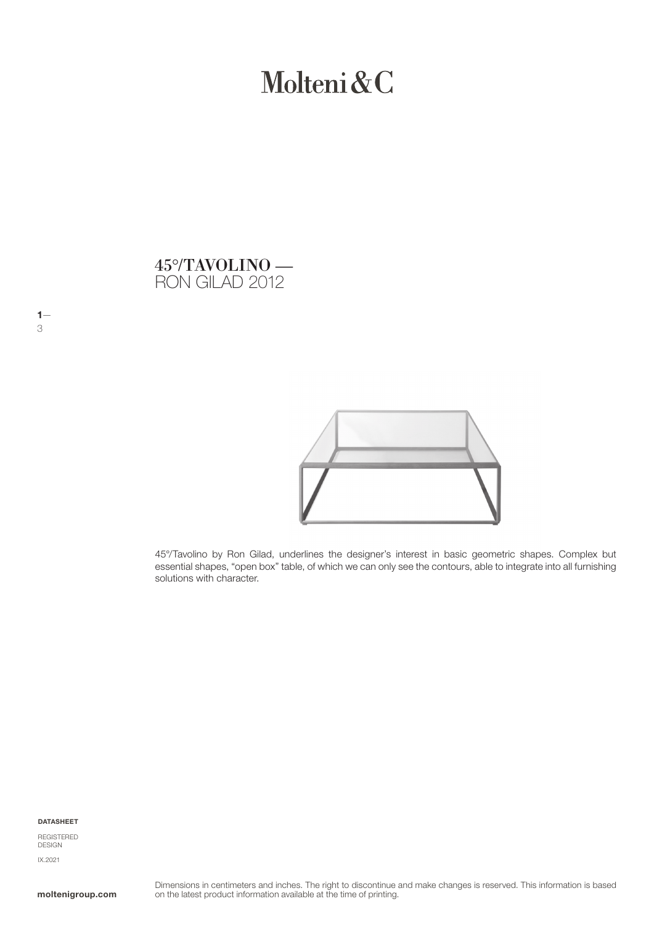# Molteni&C

# RON GILAD 2012 45°/TAVOLINO —



45°/Tavolino by Ron Gilad, underlines the designer's interest in basic geometric shapes. Complex but essential shapes, "open box" table, of which we can only see the contours, able to integrate into all furnishing solutions with character.

DATASHEET

 $1-$ 

3

REGISTERED **DESIGN** IX.2021

moltenigroup.com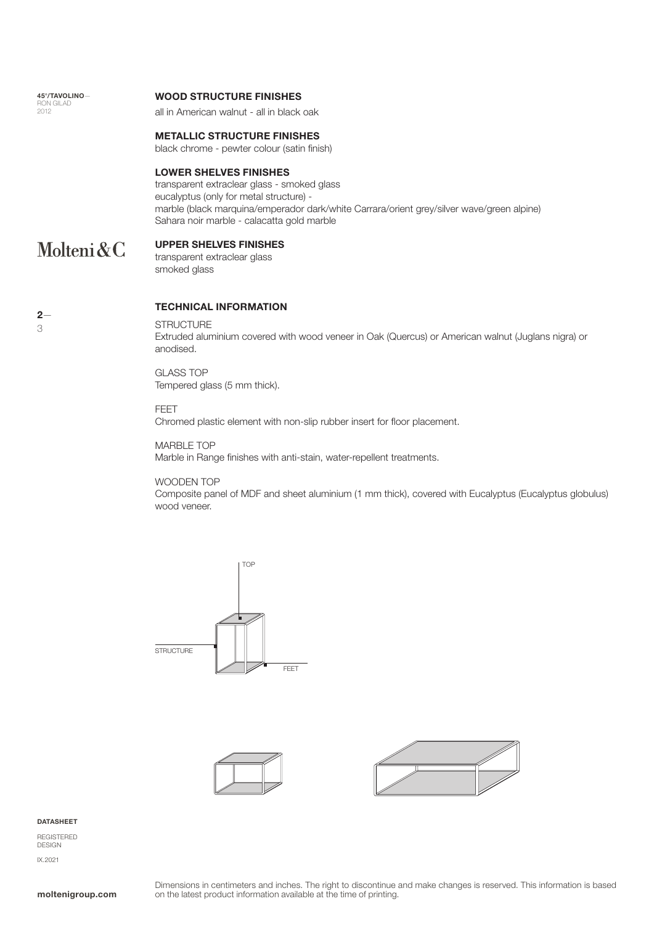| 45°/TAVOLINO- |
|---------------|
| RON GILAD     |
| 2012          |

#### WOOD STRUCTURE FINISHES

all in American walnut - all in black oak

#### METALLIC STRUCTURE FINISHES

black chrome - pewter colour (satin finish)

#### LOWER SHELVES FINISHES

transparent extraclear glass - smoked glass eucalyptus (only for metal structure) marble (black marquina/emperador dark/white Carrara/orient grey/silver wave/green alpine) Sahara noir marble - calacatta gold marble

# UPPER SHELVES FINISHES Molteni&C

transparent extraclear glass smoked glass

| × |  |
|---|--|

# TECHNICAL INFORMATION

**STRUCTURE** 

Extruded aluminium covered with wood veneer in Oak (Quercus) or American walnut (Juglans nigra) or anodised.

GLASS TOP Tempered glass (5 mm thick).

FEET

Chromed plastic element with non-slip rubber insert for floor placement.

MARBLE TOP

Marble in Range finishes with anti-stain, water-repellent treatments.

### WOODEN TOP

Composite panel of MDF and sheet aluminium (1 mm thick), covered with Eucalyptus (Eucalyptus globulus) wood veneer.







#### DATASHEET

REGISTERED DESIGN IX.2021